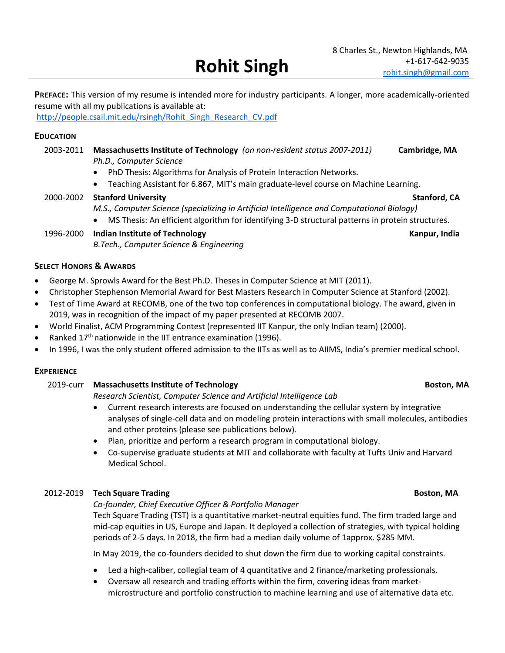**PREFACE:** This version of my resume is intended more for industry participants. A longer, more academically-oriented resume with all my publications is available at:

[http://people.csail.mit.edu/rsingh/Rohit\\_Singh\\_Research\\_CV.pdf](http://people.csail.mit.edu/rsingh/Rohit_Singh_Research_CV.pdf)

## **EDUCATION**

- 2003-2011 **Massachusetts Institute of Technology** *(on non-resident status 2007-2011)* **Cambridge, MA** *Ph.D., Computer Science*
	- PhD Thesis: Algorithms for Analysis of Protein Interaction Networks.
	- Teaching Assistant for 6.867, MIT's main graduate-level course on Machine Learning.
- 2000-2002 Stanford University **Stanford, CA** *M.S., Computer Science (specializing in Artificial Intelligence and Computational Biology)*  • MS Thesis: An efficient algorithm for identifying 3-D structural patterns in protein structures.

# 1996-2000 **Indian Institute of Technology Kanpur, India** Kanpur, India *B.Tech., Computer Science & Engineering*

## **SELECT HONORS & AWARDS**

- George M. Sprowls Award for the Best Ph.D. Theses in Computer Science at MIT (2011).
- Christopher Stephenson Memorial Award for Best Masters Research in Computer Science at Stanford (2002).
- Test of Time Award at RECOMB, one of the two top conferences in computational biology. The award, given in 2019, was in recognition of the impact of my paper presented at RECOMB 2007.
- World Finalist, ACM Programming Contest (represented IIT Kanpur, the only Indian team) (2000).
- Ranked 17<sup>th</sup> nationwide in the IIT entrance examination (1996).
- In 1996, I was the only student offered admission to the IITs as well as to AIIMS, India's premier medical school.

### **EXPERIENCE**

### 2019-curr **Massachusetts Institute of Technology Boston, MA**

*Research Scientist, Computer Science and Artificial Intelligence Lab*

- Current research interests are focused on understanding the cellular system by integrative analyses of single-cell data and on modeling protein interactions with small molecules, antibodies and other proteins (please see publications below).
- Plan, prioritize and perform a research program in computational biology.
- Co-supervise graduate students at MIT and collaborate with faculty at Tufts Univ and Harvard Medical School.

### 2012-2019 **Tech Square Trading Boston, MA**

*Co-founder, Chief Executive Officer & Portfolio Manager*

Tech Square Trading (TST) is a quantitative market-neutral equities fund. The firm traded large and mid-cap equities in US, Europe and Japan. It deployed a collection of strategies, with typical holding periods of 2-5 days. In 2018, the firm had a median daily volume of 1approx. \$285 MM.

In May 2019, the co-founders decided to shut down the firm due to working capital constraints.

- Led a high-caliber, collegial team of 4 quantitative and 2 finance/marketing professionals.
- Oversaw all research and trading efforts within the firm, covering ideas from marketmicrostructure and portfolio construction to machine learning and use of alternative data etc.

## 8 Charles St., Newton Highlands, MA +1-617-642-9035 [rohit.singh@gmail.com](mailto:rohit.singh@gmail.com)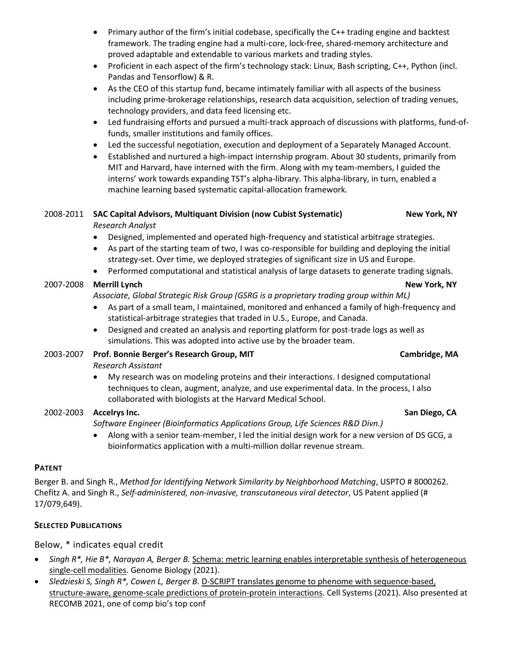- Primary author of the firm's initial codebase, specifically the C++ trading engine and backtest framework. The trading engine had a multi-core, lock-free, shared-memory architecture and proved adaptable and extendable to various markets and trading styles.
- Proficient in each aspect of the firm's technology stack: Linux, Bash scripting, C++, Python (incl. Pandas and Tensorflow) & R.
- As the CEO of this startup fund, became intimately familiar with all aspects of the business including prime-brokerage relationships, research data acquisition, selection of trading venues, technology providers, and data feed licensing etc.
- Led fundraising efforts and pursued a multi-track approach of discussions with platforms, fund-offunds, smaller institutions and family offices.
- Led the successful negotiation, execution and deployment of a Separately Managed Account.
- Established and nurtured a high-impact internship program. About 30 students, primarily from MIT and Harvard, have interned with the firm. Along with my team-members, I guided the interns' work towards expanding TST's alpha-library. This alpha-library, in turn, enabled a machine learning based systematic capital-allocation framework.

## 2008-2011 SAC Capital Advisors, Multiquant Division (now Cubist Systematic) New York, NY *Research Analyst*

• Designed, implemented and operated high-frequency and statistical arbitrage strategies.

- As part of the starting team of two, I was co-responsible for building and deploying the initial strategy-set. Over time, we deployed strategies of significant size in US and Europe.
- Performed computational and statistical analysis of large datasets to generate trading signals.

# 2007-2008 **Merrill Lynch New York, NY**

*Associate, Global Strategic Risk Group (GSRG is a proprietary trading group within ML)* 

- As part of a small team, I maintained, monitored and enhanced a family of high-frequency and statistical-arbitrage strategies that traded in U.S., Europe, and Canada.
- Designed and created an analysis and reporting platform for post-trade logs as well as simulations. This was adopted into active use by the broader team.
- 2003-2007 **Prof. Bonnie Berger's Research Group, MIT Cambridge, MA**

*Research Assistant* 

• My research was on modeling proteins and their interactions. I designed computational techniques to clean, augment, analyze, and use experimental data. In the process, I also collaborated with biologists at the Harvard Medical School.

# 2002-2003 **Accelrys Inc. San Diego, CA**

*Software Engineer (Bioinformatics Applications Group, Life Sciences R&D Divn.)* 

• Along with a senior team-member, I led the initial design work for a new version of DS GCG, a bioinformatics application with a multi-million dollar revenue stream.

# **PATENT**

Berger B. and Singh R., *Method for Identifying Network Similarity by Neighborhood Matching*, USPTO # 8000262. Chefitz A. and Singh R., *Self-administered, non-invasive, transcutaneous viral detector*, US Patent applied (# 17/079,649).

# **SELECTED PUBLICATIONS**

Below, \* indicates equal credit

- *Singh R\*, Hie B\*, Narayan A, Berger B.* Schema: metric learning enables interpretable synthesis of heterogeneous single-cell modalities. Genome Biology (2021).
- *Sledzieski S, Singh R\*, Cowen L, Berger B.* D-SCRIPT translates genome to phenome with sequence-based, structure-aware, genome-scale predictions of protein-protein interactions. Cell Systems (2021). Also presented at RECOMB 2021, one of comp bio's top conf